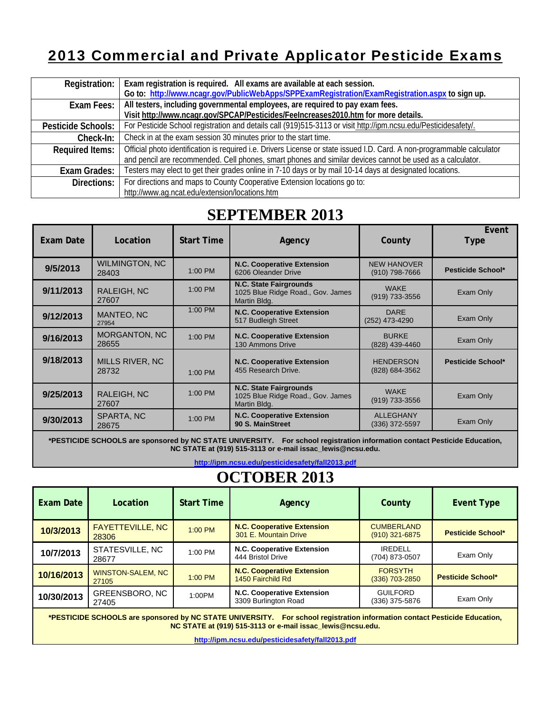### 2013 Commercial and Private Applicator Pesticide Exams

| Registration:          | Exam registration is required. All exams are available at each session.                                                 |
|------------------------|-------------------------------------------------------------------------------------------------------------------------|
|                        | Go to: http://www.ncagr.gov/PublicWebApps/SPPExamRegistration/ExamRegistration.aspx to sign up.                         |
| Exam Fees:             | All testers, including governmental employees, are required to pay exam fees.                                           |
|                        | Visit http://www.ncagr.gov/SPCAP/Pesticides/FeeIncreases2010.htm for more details.                                      |
| Pesticide Schools:     | For Pesticide School registration and details call (919)515-3113 or visit http://ipm.ncsu.edu/Pesticidesafety/.         |
| Check-In:              | Check in at the exam session 30 minutes prior to the start time.                                                        |
| <b>Required Items:</b> | Official photo identification is required i.e. Drivers License or state issued I.D. Card. A non-programmable calculator |
|                        | and pencil are recommended. Cell phones, smart phones and similar devices cannot be used as a calculator.               |
| Exam Grades:           | Testers may elect to get their grades online in 7-10 days or by mail 10-14 days at designated locations.                |
| Directions:            | For directions and maps to County Cooperative Extension locations go to:                                                |
|                        | http://www.ag.ncat.edu/extension/locations.htm                                                                          |

#### **SEPTEMBER 2013**

| Exam Date | Location                        | <b>Start Time</b> | Agency                                                                             | County                                 | Event<br><b>Type</b>     |
|-----------|---------------------------------|-------------------|------------------------------------------------------------------------------------|----------------------------------------|--------------------------|
| 9/5/2013  | <b>WILMINGTON, NC</b><br>28403  | $1:00$ PM         | <b>N.C. Cooperative Extension</b><br>6206 Oleander Drive                           | <b>NEW HANOVER</b><br>$(910)$ 798-7666 | <b>Pesticide School*</b> |
| 9/11/2013 | RALEIGH, NC<br>27607            | $1:00$ PM         | <b>N.C. State Fairgrounds</b><br>1025 Blue Ridge Road., Gov. James<br>Martin Bldg. | <b>WAKE</b><br>(919) 733-3556          | Exam Only                |
| 9/12/2013 | MANTEO, NC<br>27954             | $1:00$ PM         | <b>N.C. Cooperative Extension</b><br>517 Budleigh Street                           | <b>DARE</b><br>(252) 473-4290          | Exam Only                |
| 9/16/2013 | <b>MORGANTON, NC</b><br>28655   | $1:00$ PM         | <b>N.C. Cooperative Extension</b><br>130 Ammons Drive                              | <b>BURKE</b><br>(828) 439-4460         | Exam Only                |
| 9/18/2013 | <b>MILLS RIVER, NC</b><br>28732 | $1:00$ PM         | <b>N.C. Cooperative Extension</b><br>455 Research Drive.                           | <b>HENDERSON</b><br>(828) 684-3562     | Pesticide School*        |
| 9/25/2013 | RALEIGH, NC<br>27607            | $1:00$ PM         | N.C. State Fairgrounds<br>1025 Blue Ridge Road., Gov. James<br>Martin Bldg.        | <b>WAKE</b><br>(919) 733-3556          | Exam Only                |
| 9/30/2013 | SPARTA, NC<br>28675             | 1:00 PM           | <b>N.C. Cooperative Extension</b><br>90 S. MainStreet                              | <b>ALLEGHANY</b><br>(336) 372-5597     | Exam Only                |

**\*PESTICIDE SCHOOLS are sponsored by NC STATE UNIVERSITY. For school registration information contact Pesticide Education, NC STATE at (919) 515-3113 or e-mail issac\_lewis@ncsu.edu.** 

**http://ipm.ncsu.edu/pesticidesafety/fall2013.pdf**

## **OCTOBER 2013**

| Exam Date  | Location                          | <b>Start Time</b> | Agency                                                     | County                                | <b>Event Type</b>        |
|------------|-----------------------------------|-------------------|------------------------------------------------------------|---------------------------------------|--------------------------|
| 10/3/2013  | <b>FAYETTEVILLE, NC</b><br>28306  | 1:00 PM           | <b>N.C. Cooperative Extension</b><br>301 E. Mountain Drive | <b>CUMBERLAND</b><br>$(910)$ 321-6875 | <b>Pesticide School*</b> |
| 10/7/2013  | STATESVILLE, NC<br>28677          | $1:00$ PM         | N.C. Cooperative Extension<br>444 Bristol Drive            | <b>IREDELL</b><br>(704) 873-0507      | Exam Only                |
| 10/16/2013 | <b>WINSTON-SALEM, NC</b><br>27105 | 1:00 PM           | <b>N.C. Cooperative Extension</b><br>1450 Fairchild Rd     | <b>FORSYTH</b><br>$(336)$ 703-2850    | <b>Pesticide School*</b> |
| 10/30/2013 | GREENSBORO, NC<br>27405           | 1:00PM            | N.C. Cooperative Extension<br>3309 Burlington Road         | <b>GUILFORD</b><br>(336) 375-5876     | Exam Only                |

**\*PESTICIDE SCHOOLS are sponsored by NC STATE UNIVERSITY. For school registration information contact Pesticide Education, NC STATE at (919) 515-3113 or e-mail issac\_lewis@ncsu.edu.** 

**http://ipm.ncsu.edu/pesticidesafety/fall2013.pdf**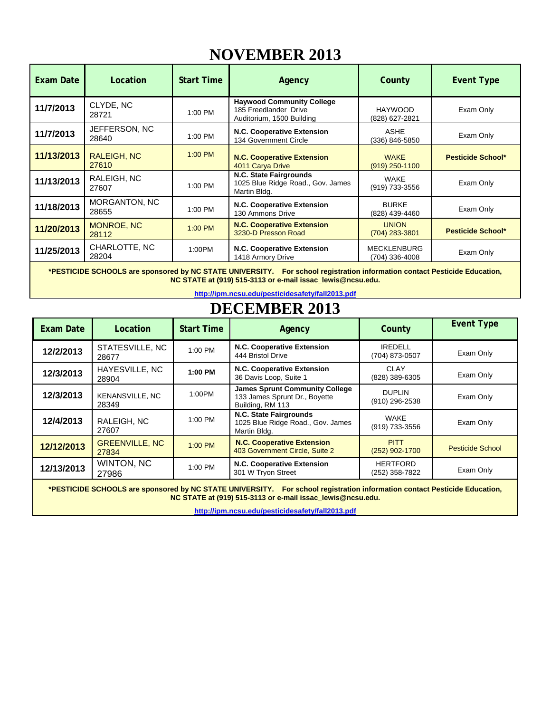### **NOVEMBER 2013**

| Exam Date  | Location                    | <b>Start Time</b> | Agency                                                                                 | County                               | <b>Event Type</b>        |
|------------|-----------------------------|-------------------|----------------------------------------------------------------------------------------|--------------------------------------|--------------------------|
| 11/7/2013  | CLYDE, NC<br>28721          | $1:00$ PM         | <b>Haywood Community College</b><br>185 Freedlander Drive<br>Auditorium, 1500 Building | <b>HAYWOOD</b><br>(828) 627-2821     | Exam Only                |
| 11/7/2013  | JEFFERSON, NC<br>28640      | 1:00 PM           | N.C. Cooperative Extension<br>134 Government Circle                                    | ASHE<br>(336) 846-5850               | Exam Only                |
| 11/13/2013 | <b>RALEIGH, NC</b><br>27610 | 1:00 PM           | <b>N.C. Cooperative Extension</b><br>4011 Carya Drive                                  | <b>WAKE</b><br>$(919)$ 250-1100      | <b>Pesticide School*</b> |
| 11/13/2013 | RALEIGH, NC<br>27607        | $1:00$ PM         | N.C. State Fairgrounds<br>1025 Blue Ridge Road., Gov. James<br>Martin Bldg.            | WAKE<br>(919) 733-3556               | Exam Only                |
| 11/18/2013 | MORGANTON, NC<br>28655      | 1:00 PM           | N.C. Cooperative Extension<br>130 Ammons Drive                                         | <b>BURKE</b><br>(828) 439-4460       | Exam Only                |
| 11/20/2013 | <b>MONROE, NC</b><br>28112  | 1:00 PM           | <b>N.C. Cooperative Extension</b><br>3230-D Presson Road                               | <b>UNION</b><br>$(704)$ 283-3801     | Pesticide School*        |
| 11/25/2013 | CHARLOTTE, NC<br>28204      | 1:00PM            | N.C. Cooperative Extension<br>1418 Armory Drive                                        | <b>MECKLENBURG</b><br>(704) 336-4008 | Exam Only                |

**\*PESTICIDE SCHOOLS are sponsored by NC STATE UNIVERSITY. For school registration information contact Pesticide Education, NC STATE at (919) 515-3113 or e-mail issac\_lewis@ncsu.edu.** 

**http://ipm.ncsu.edu/pesticidesafety/fall2013.pdf**

## **DECEMBER 2013**

| <b>Exam Date</b> | Location                       | <b>Start Time</b> | Agency                                                                                     | County                            | <b>Event Type</b>       |
|------------------|--------------------------------|-------------------|--------------------------------------------------------------------------------------------|-----------------------------------|-------------------------|
| 12/2/2013        | STATESVILLE, NC<br>28677       | 1:00 PM           | <b>N.C. Cooperative Extension</b><br>444 Bristol Drive                                     | <b>IREDELL</b><br>(704) 873-0507  | Exam Only               |
| 12/3/2013        | HAYESVILLE, NC<br>28904        | 1:00 PM           | N.C. Cooperative Extension<br>36 Davis Loop, Suite 1                                       | CLAY<br>(828) 389-6305            | Exam Only               |
| 12/3/2013        | KENANSVILLE, NC<br>28349       | 1:00PM            | <b>James Sprunt Community College</b><br>133 James Sprunt Dr., Boyette<br>Building, RM 113 | <b>DUPLIN</b><br>(910) 296-2538   | Exam Only               |
| 12/4/2013        | RALEIGH, NC<br>27607           | $1:00$ PM         | N.C. State Fairgrounds<br>1025 Blue Ridge Road., Gov. James<br>Martin Bldg.                | WAKE<br>(919) 733-3556            | Exam Only               |
| 12/12/2013       | <b>GREENVILLE, NC</b><br>27834 | $1:00$ PM         | <b>N.C. Cooperative Extension</b><br>403 Government Circle, Suite 2                        | <b>PITT</b><br>$(252)$ 902-1700   | <b>Pesticide School</b> |
| 12/13/2013       | WINTON, NC<br>27986            | 1:00 PM           | N.C. Cooperative Extension<br>301 W Tryon Street                                           | <b>HERTFORD</b><br>(252) 358-7822 | Exam Only               |

**\*PESTICIDE SCHOOLS are sponsored by NC STATE UNIVERSITY. For school registration information contact Pesticide Education, NC STATE at (919) 515-3113 or e-mail issac\_lewis@ncsu.edu.** 

**http://ipm.ncsu.edu/pesticidesafety/fall2013.pdf**